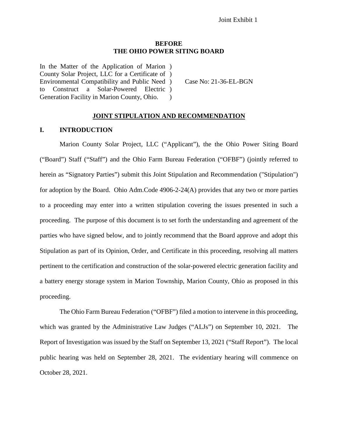#### **BEFORE THE OHIO POWER SITING BOARD**

In the Matter of the Application of Marion ) County Solar Project, LLC for a Certificate of ) Environmental Compatibility and Public Need to Construct a Solar-Powered Electric ) Generation Facility in Marion County, Ohio.  $\lambda$ 

) Case No: 21-36-EL-BGN

#### **JOINT STIPULATION AND RECOMMENDATION**

#### **I. INTRODUCTION**

Marion County Solar Project, LLC ("Applicant"), the the Ohio Power Siting Board ("Board") Staff ("Staff") and the Ohio Farm Bureau Federation ("OFBF") (jointly referred to herein as "Signatory Parties") submit this Joint Stipulation and Recommendation ("Stipulation") for adoption by the Board. Ohio Adm.Code 4906-2-24(A) provides that any two or more parties to a proceeding may enter into a written stipulation covering the issues presented in such a proceeding. The purpose of this document is to set forth the understanding and agreement of the parties who have signed below, and to jointly recommend that the Board approve and adopt this Stipulation as part of its Opinion, Order, and Certificate in this proceeding, resolving all matters pertinent to the certification and construction of the solar-powered electric generation facility and a battery energy storage system in Marion Township, Marion County, Ohio as proposed in this proceeding.

The Ohio Farm Bureau Federation ("OFBF") filed a motion to intervene in this proceeding, which was granted by the Administrative Law Judges ("ALJs") on September 10, 2021. The Report of Investigation was issued by the Staff on September 13, 2021 ("Staff Report"). The local public hearing was held on September 28, 2021. The evidentiary hearing will commence on October 28, 2021.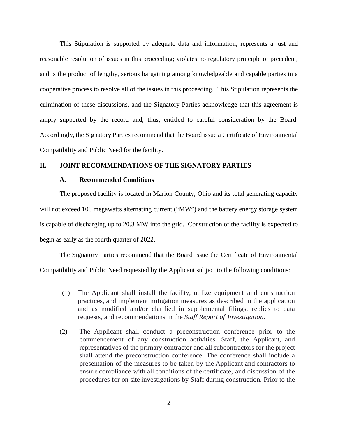This Stipulation is supported by adequate data and information; represents a just and reasonable resolution of issues in this proceeding; violates no regulatory principle or precedent; and is the product of lengthy, serious bargaining among knowledgeable and capable parties in a cooperative process to resolve all of the issues in this proceeding. This Stipulation represents the culmination of these discussions, and the Signatory Parties acknowledge that this agreement is amply supported by the record and, thus, entitled to careful consideration by the Board. Accordingly, the Signatory Parties recommend that the Board issue a Certificate of Environmental Compatibility and Public Need for the facility.

#### **II. JOINT RECOMMENDATIONS OF THE SIGNATORY PARTIES**

### **A. Recommended Conditions**

The proposed facility is located in Marion County, Ohio and its total generating capacity will not exceed 100 megawatts alternating current ("MW") and the battery energy storage system is capable of discharging up to 20.3 MW into the grid. Construction of the facility is expected to begin as early as the fourth quarter of 2022.

The Signatory Parties recommend that the Board issue the Certificate of Environmental Compatibility and Public Need requested by the Applicant subject to the following conditions:

- (1) The Applicant shall install the facility, utilize equipment and construction practices, and implement mitigation measures as described in the application and as modified and/or clarified in supplemental filings, replies to data requests, and recommendations in the *Staff Report of Investigation.*
- (2) The Applicant shall conduct a preconstruction conference prior to the commencement of any construction activities. Staff, the Applicant, and representatives of the primary contractor and all subcontractors for the project shall attend the preconstruction conference. The conference shall include a presentation of the measures to be taken by the Applicant and contractors to ensure compliance with all conditions of the certificate, and discussion of the procedures for on-site investigations by Staff during construction. Prior to the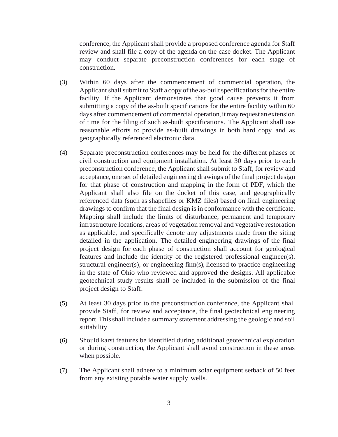conference, the Applicant shall provide a proposed conference agenda for Staff review and shall file a copy of the agenda on the case docket. The Applicant may conduct separate preconstruction conferences for each stage of construction.

- (3) Within 60 days after the commencement of commercial operation, the Applicant shall submit to Staff a copy of the as-built specifications for the entire facility. If the Applicant demonstrates that good cause prevents it from submitting a copy of the as-built specifications for the entire facility within 60 days after commencement of commercial operation, it may request an extension of time for the filing of such as-built specifications. The Applicant shall use reasonable efforts to provide as-built drawings in both hard copy and as geographically referenced electronic data.
- (4) Separate preconstruction conferences may be held for the different phases of civil construction and equipment installation. At least 30 days prior to each preconstruction conference, the Applicant shall submit to Staff, for review and acceptance, one set of detailed engineering drawings of the final project design for that phase of construction and mapping in the form of PDF, which the Applicant shall also file on the docket of this case, and geographically referenced data (such as shapefiles or KMZ files) based on final engineering drawings to confirm that the final design is in conformance with the certificate. Mapping shall include the limits of disturbance, permanent and temporary infrastructure locations, areas of vegetation removal and vegetative restoration as applicable, and specifically denote any adjustments made from the siting detailed in the application. The detailed engineering drawings of the final project design for each phase of construction shall account for geological features and include the identity of the registered professional engineer(s), structural engineer(s), or engineering firm(s), licensed to practice engineering in the state of Ohio who reviewed and approved the designs. All applicable geotechnical study results shall be included in the submission of the final project design to Staff.
- (5) At least 30 days prior to the preconstruction conference, the Applicant shall provide Staff, for review and acceptance, the final geotechnical engineering report.Thisshall include a summary statement addressing the geologic and soil suitability.
- (6) Should karst features be identified during additional geotechnical exploration or during construction, the Applicant shall avoid construction in these areas when possible.
- (7) The Applicant shall adhere to a minimum solar equipment setback of 50 feet from any existing potable water supply wells.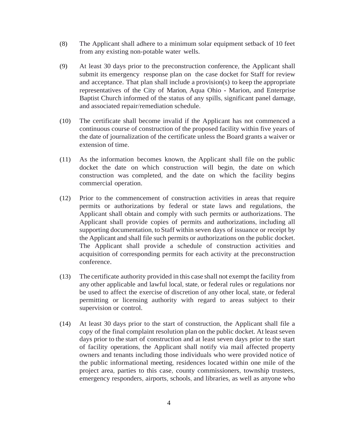- (8) The Applicant shall adhere to a minimum solar equipment setback of 10 feet from any existing non-potable water wells.
- (9) At least 30 days prior to the preconstruction conference, the Applicant shall submit its emergency response plan on the case docket for Staff for review and acceptance. That plan shall include a provision(s) to keep the appropriate representatives of the City of Marion, Aqua Ohio - Marion, and Enterprise Baptist Church informed of the status of any spills, significant panel damage, and associated repair/remediation schedule.
- (10) The certificate shall become invalid if the Applicant has not commenced a continuous course of construction of the proposed facility within five years of the date of journalization of the certificate unless the Board grants a waiver or extension of time.
- (11) As the information becomes known, the Applicant shall file on the public docket the date on which construction will begin, the date on which construction was completed, and the date on which the facility begins commercial operation.
- (12) Prior to the commencement of construction activities in areas that require permits or authorizations by federal or state laws and regulations, the Applicant shall obtain and comply with such permits or authorizations. The Applicant shall provide copies of permits and authorizations, including all supporting documentation, to Staff within seven days of issuance or receipt by the Applicant and shall file such permits or authorizations on the public docket. The Applicant shall provide a schedule of construction activities and acquisition of corresponding permits for each activity at the preconstruction conference.
- (13) The certificate authority provided in this case shall not exempt the facility from any other applicable and lawful local, state, or federal rules or regulations nor be used to affect the exercise of discretion of any other local, state, or federal permitting or licensing authority with regard to areas subject to their supervision or control.
- (14) At least 30 days prior to the start of construction, the Applicant shall file a copy of the final complaint resolution plan on the public docket. At least seven days prior to the start of construction and at least seven days prior to the start of facility operations, the Applicant shall notify via mail affected property owners and tenants including those individuals who were provided notice of the public informational meeting, residences located within one mile of the project area, parties to this case, county commissioners, township trustees, emergency responders, airports, schools, and libraries, as well as anyone who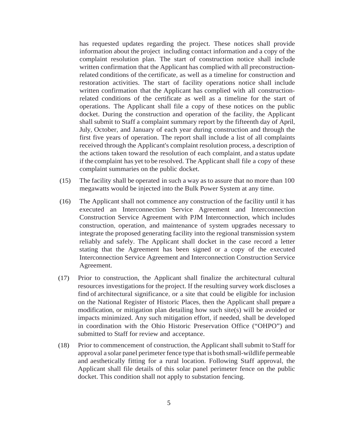has requested updates regarding the project. These notices shall provide information about the project including contact information and a copy of the complaint resolution plan. The start of construction notice shall include written confirmation that the Applicant has complied with all preconstructionrelated conditions of the certificate, as well as a timeline for construction and restoration activities. The start of facility operations notice shall include written confirmation that the Applicant has complied with all constructionrelated conditions of the certificate as well as a timeline for the start of operations. The Applicant shall file a copy of these notices on the public docket. During the construction and operation of the facility, the Applicant shall submit to Staff a complaint summary report by the fifteenth day of April, July, October, and January of each year during construction and through the first five years of operation. The report shall include a list of all complaints received through the Applicant's complaint resolution process, a description of the actions taken toward the resolution of each complaint, and a status update if the complaint has yet to be resolved. The Applicant shall file a copy of these complaint summaries on the public docket.

- (15) The facility shall be operated in such a way as to assure that no more than 100 megawatts would be injected into the Bulk Power System at any time.
- (16) The Applicant shall not commence any construction of the facility until it has executed an Interconnection Service Agreement and Interconnection Construction Service Agreement with PJM Interconnection, which includes construction, operation, and maintenance of system upgrades necessary to integrate the proposed generating facility into the regional transmission system reliably and safely. The Applicant shall docket in the case record a letter stating that the Agreement has been signed or a copy of the executed Interconnection Service Agreement and Interconnection Construction Service Agreement.
- (17) Prior to construction, the Applicant shall finalize the architectural cultural resources investigations for the project. If the resulting survey work discloses a find of architectural significance, or a site that could be eligible for inclusion on the National Register of Historic Places, then the Applicant shall prepare a modification, or mitigation plan detailing how such site(s) will be avoided or impacts minimized. Any such mitigation effort, if needed, shall be developed in coordination with the Ohio Historic Preservation Office ("OHPO") and submitted to Staff for review and acceptance.
- (18) Prior to commencement of construction, the Applicant shall submit to Staff for approval a solar panel perimeter fence type that isbothsmall-wildlife permeable and aesthetically fitting for a rural location. Following Staff approval, the Applicant shall file details of this solar panel perimeter fence on the public docket. This condition shall not apply to substation fencing.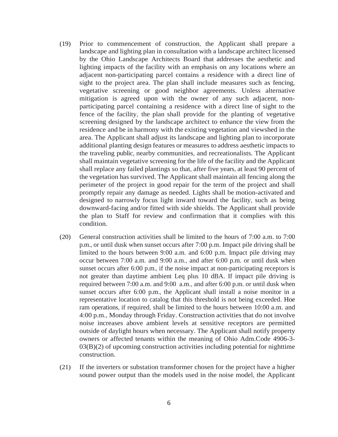- (19) Prior to commencement of construction, the Applicant shall prepare a landscape and lighting plan in consultation with a landscape architect licensed by the Ohio Landscape Architects Board that addresses the aesthetic and lighting impacts of the facility with an emphasis on any locations where an adjacent non-participating parcel contains a residence with a direct line of sight to the project area. The plan shall include measures such as fencing, vegetative screening or good neighbor agreements. Unless alternative mitigation is agreed upon with the owner of any such adjacent, nonparticipating parcel containing a residence with a direct line of sight to the fence of the facility, the plan shall provide for the planting of vegetative screening designed by the landscape architect to enhance the view from the residence and be in harmony with the existing vegetation and viewshed in the area. The Applicant shall adjust its landscape and lighting plan to incorporate additional planting design features or measures to address aesthetic impacts to the traveling public, nearby communities, and recreationalists. The Applicant shall maintain vegetative screening for the life of the facility and the Applicant shall replace any failed plantings so that, after five years, at least 90 percent of the vegetation has survived. The Applicant shall maintain all fencing along the perimeter of the project in good repair for the term of the project and shall promptly repair any damage as needed. Lights shall be motion-activated and designed to narrowly focus light inward toward the facility, such as being downward-facing and/or fitted with side shields. The Applicant shall provide the plan to Staff for review and confirmation that it complies with this condition.
- (20) General construction activities shall be limited to the hours of 7:00 a.m. to 7:00 p.m., or until dusk when sunset occurs after 7:00 p.m. Impact pile driving shall be limited to the hours between 9:00 a.m. and 6:00 p.m. Impact pile driving may occur between 7:00 a.m. and 9:00 a.m., and after 6:00 p.m. or until dusk when sunset occurs after 6:00 p.m., if the noise impact at non-participating receptors is not greater than daytime ambient Leq plus 10 dBA. If impact pile driving is required between 7:00 a.m. and 9:00 a.m., and after 6:00 p.m. or until dusk when sunset occurs after 6:00 p.m., the Applicant shall install a noise monitor in a representative location to catalog that this threshold is not being exceeded. Hoe ram operations, if required, shall be limited to the hours between 10:00 a.m. and 4:00 p.m., Monday through Friday. Construction activities that do not involve noise increases above ambient levels at sensitive receptors are permitted outside of daylight hours when necessary. The Applicant shall notify property owners or affected tenants within the meaning of Ohio Adm.Code 4906-3-  $03(B)(2)$  of upcoming construction activities including potential for nighttime construction.
- (21) If the inverters or substation transformer chosen for the project have a higher sound power output than the models used in the noise model, the Applicant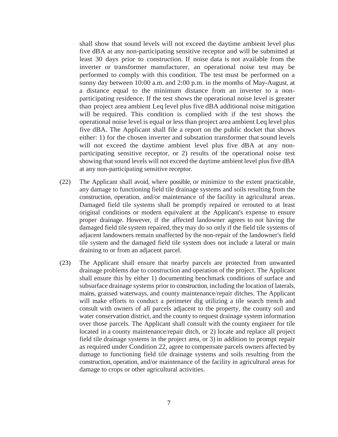shall show that sound levels will not exceed the daytime ambient level plus five dBA at any non-participating sensitive receptor and will be submitted at least 30 days prior to construction. If noise data is not available from the inverter or transformer manufacturer, an operational noise test may be performed to comply with this condition. The test must be performed on a sunny day between 10:00 a.m. and 2:00 p.m. in the months of May-August, at a distance equal to the minimum distance from an inverter to a nonparticipating residence. If the test shows the operational noise level is greater than project area ambient Leq level plus five dBA additional noise mitigation will be required. This condition is complied with if the test shows the operational noise level is equal or less than project area ambient Leq level plus five dBA. The Applicant shall file a report on the public docket that shows either: 1) for the chosen inverter and substation transformer that sound levels will not exceed the daytime ambient level plus five dBA at any nonparticipating sensitive receptor, or 2) results of the operational noise test showing that sound levels will not exceed the daytime ambient level plus five dBA at any non-participating sensitive receptor.

- (22) The Applicant shall avoid, where possible, or minimize to the extent practicable, any damage to functioning field tile drainage systems and soils resulting from the construction, operation, and/or maintenance of the facility in agricultural areas. Damaged field tile systems shall be promptly repaired or rerouted to at least original conditions or modern equivalent at the Applicant's expense to ensure proper drainage. However, if the affected landowner agrees to not having the damaged field tile system repaired, they may do so only if the field tile systems of adjacent landowners remain unaffected by the non-repair of the landowner's field tile system and the damaged field tile system does not include a lateral or main draining to or from an adjacent parcel.
- (23) The Applicant shall ensure that nearby parcels are protected from unwanted drainage problems due to construction and operation of the project. The Applicant shall ensure this by either 1) documenting benchmark conditions of surface and subsurface drainage systems prior to construction, including the location of laterals, mains, grassed waterways, and county maintenance/repair ditches. The Applicant will make efforts to conduct a perimeter dig utilizing a tile search trench and consult with owners of all parcels adjacent to the property, the county soil and water conservation district, and the county to request drainage system information over those parcels. The Applicant shall consult with the county engineer for tile located in a county maintenance/repair ditch, or 2) locate and replace all project field tile drainage systems in the project area, or 3) in addition to prompt repair as required under Condition 22, agree to compensate parcels owners affected by damage to functioning field tile drainage systems and soils resulting from the construction, operation, and/or maintenance of the facility in agricultural areas for damage to crops or other agricultural activities.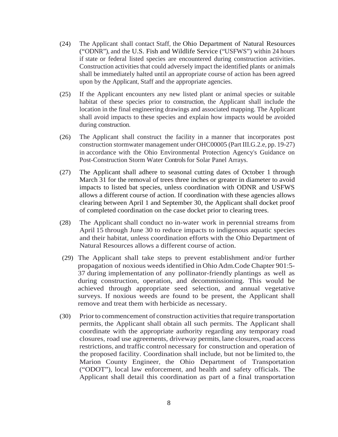- (24) The Applicant shall contact Staff, the Ohio Department of Natural Resources ("ODNR"), and the U.S. Fish and Wildlife Service ("USFWS") within 24 hours if state or federal listed species are encountered during construction activities. Construction activities that could adversely impact the identified plants or animals shall be immediately halted until an appropriate course of action has been agreed upon by the Applicant, Staff and the appropriate agencies.
- (25) If the Applicant encounters any new listed plant or animal species or suitable habitat of these species prior to construction, the Applicant shall include the location in the final engineering drawings and associated mapping. The Applicant shall avoid impacts to these species and explain how impacts would be avoided during construction.
- (26) The Applicant shall construct the facility in a manner that incorporates post construction stormwater management under OHC00005 (Part III.G.2.e, pp. 19-27) in accordance with the Ohio Environmental Protection Agency's Guidance on Post-Construction Storm Water Controls for Solar Panel Arrays.
- (27) The Applicant shall adhere to seasonal cutting dates of October 1 through March 31 for the removal of trees three inches or greater in diameter to avoid impacts to listed bat species, unless coordination with ODNR and USFWS allows a different course of action. If coordination with these agencies allows clearing between April 1 and September 30, the Applicant shall docket proof of completed coordination on the case docket prior to clearing trees.
- (28) The Applicant shall conduct no in-water work in perennial streams from April 15 through June 30 to reduce impacts to indigenous aquatic species and their habitat, unless coordination efforts with the Ohio Department of Natural Resources allows a different course of action.
- (29) The Applicant shall take steps to prevent establishment and/or further propagation of noxious weedsidentified in OhioAdm.Code Chapter 901:5- 37 during implementation of any pollinator-friendly plantings as well as during construction, operation, and decommissioning. This would be achieved through appropriate seed selection, and annual vegetative surveys. If noxious weeds are found to be present, the Applicant shall remove and treat them with herbicide as necessary.
- (30) Priorto commencement of construction activitiesthatrequire transportation permits, the Applicant shall obtain all such permits. The Applicant shall coordinate with the appropriate authority regarding any temporary road closures, road use agreements, driveway permits, lane closures,road access restrictions, and traffic control necessary for construction and operation of the proposed facility. Coordination shall include, but not be limited to, the Marion County Engineer, the Ohio Department of Transportation ("ODOT"), local law enforcement, and health and safety officials. The Applicant shall detail this coordination as part of a final transportation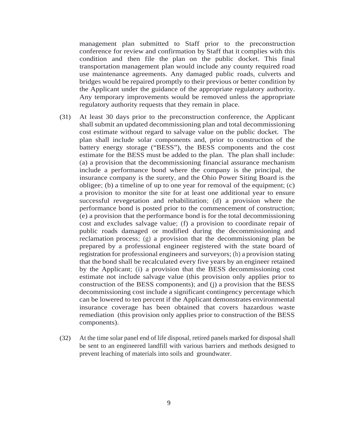management plan submitted to Staff prior to the preconstruction conference for review and confirmation by Staff that it complies with this condition and then file the plan on the public docket. This final transportation management plan would include any county required road use maintenance agreements. Any damaged public roads, culverts and bridges would be repaired promptly to their previous or better condition by the Applicant under the guidance of the appropriate regulatory authority. Any temporary improvements would be removed unless the appropriate regulatory authority requests that they remain in place.

- (31) At least 30 days prior to the preconstruction conference, the Applicant shall submit an updated decommissioning plan and total decommissioning cost estimate without regard to salvage value on the public docket. The plan shall include solar components and, prior to construction of the battery energy storage ("BESS"), the BESS components and the cost estimate for the BESS must be added to the plan. The plan shall include: (a) a provision that the decommissioning financial assurance mechanism include a performance bond where the company is the principal, the insurance company is the surety, and the Ohio Power Siting Board is the obligee; (b) a timeline of up to one year for removal of the equipment; (c) a provision to monitor the site for at least one additional year to ensure successful revegetation and rehabilitation; (d) a provision where the performance bond is posted prior to the commencement of construction; (e) a provision that the performance bond is for the total decommissioning cost and excludes salvage value; (f) a provision to coordinate repair of public roads damaged or modified during the decommissioning and reclamation process; (g) a provision that the decommissioning plan be prepared by a professional engineer registered with the state board of registration for professional engineers and surveyors; (h) a provision stating that the bond shall be recalculated every five years by an engineer retained by the Applicant; (i) a provision that the BESS decommissioning cost estimate not include salvage value (this provision only applies prior to construction of the BESS components); and (j) a provision that the BESS decommissioning cost include a significant contingency percentage which can be lowered to ten percent if the Applicant demonstrates environmental insurance coverage has been obtained that covers hazardous waste remediation (this provision only applies prior to construction of the BESS components).
- (32) At the time solar panel end of life disposal, retired panels marked for disposal shall be sent to an engineered landfill with various barriers and methods designed to prevent leaching of materials into soils and groundwater.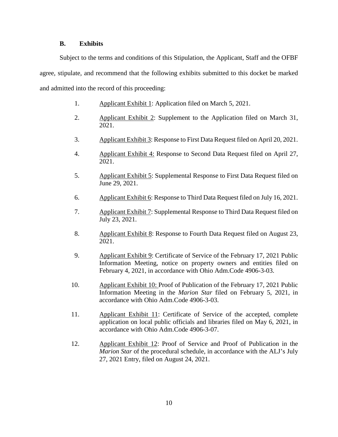#### **B. Exhibits**

Subject to the terms and conditions of this Stipulation, the Applicant, Staff and the OFBF agree, stipulate, and recommend that the following exhibits submitted to this docket be marked and admitted into the record of this proceeding:

- 1. Applicant Exhibit 1: Application filed on March 5, 2021.
- 2. Applicant Exhibit 2: Supplement to the Application filed on March 31, 2021.
- 3. Applicant Exhibit 3: Response to First Data Request filed on April 20, 2021.
- 4. Applicant Exhibit 4: Response to Second Data Request filed on April 27, 2021.
- 5. Applicant Exhibit 5: Supplemental Response to First Data Request filed on June 29, 2021.
- 6. Applicant Exhibit 6: Response to Third Data Request filed on July 16, 2021.
- 7. Applicant Exhibit 7: Supplemental Response to Third Data Request filed on July 23, 2021.
- 8. Applicant Exhibit 8: Response to Fourth Data Request filed on August 23, 2021.
- 9. Applicant Exhibit 9: Certificate of Service of the February 17, 2021 Public Information Meeting, notice on property owners and entities filed on February 4, 2021, in accordance with Ohio Adm.Code 4906-3-03.
- 10. Applicant Exhibit 10: Proof of Publication of the February 17, 2021 Public Information Meeting in the *Marion Star* filed on February 5, 2021, in accordance with Ohio Adm.Code 4906-3-03.
- 11. Applicant Exhibit 11: Certificate of Service of the accepted, complete application on local public officials and libraries filed on May 6, 2021, in accordance with Ohio Adm.Code 4906-3-07.
- 12. Applicant Exhibit 12: Proof of Service and Proof of Publication in the *Marion Star* of the procedural schedule, in accordance with the ALJ's July 27, 2021 Entry, filed on August 24, 2021.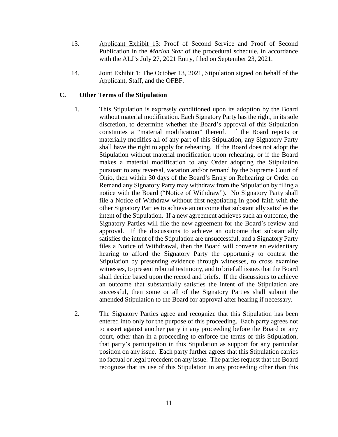- 13. Applicant Exhibit 13: Proof of Second Service and Proof of Second Publication in the *Marion Star* of the procedural schedule, in accordance with the ALJ's July 27, 2021 Entry, filed on September 23, 2021.
- 14. Joint Exhibit 1: The October 13, 2021, Stipulation signed on behalf of the Applicant, Staff, and the OFBF.

#### **C. Other Terms of the Stipulation**

- 1. This Stipulation is expressly conditioned upon its adoption by the Board without material modification. Each Signatory Party has the right, in its sole discretion, to determine whether the Board's approval of this Stipulation constitutes a "material modification" thereof. If the Board rejects or materially modifies all of any part of this Stipulation, any Signatory Party shall have the right to apply for rehearing. If the Board does not adopt the Stipulation without material modification upon rehearing, or if the Board makes a material modification to any Order adopting the Stipulation pursuant to any reversal, vacation and/or remand by the Supreme Court of Ohio, then within 30 days of the Board's Entry on Rehearing or Order on Remand any Signatory Party may withdraw from the Stipulation by filing a notice with the Board ("Notice of Withdraw"). No Signatory Party shall file a Notice of Withdraw without first negotiating in good faith with the other Signatory Parties to achieve an outcome that substantially satisfies the intent of the Stipulation. If a new agreement achieves such an outcome, the Signatory Parties will file the new agreement for the Board's review and approval. If the discussions to achieve an outcome that substantially satisfies the intent of the Stipulation are unsuccessful, and a Signatory Party files a Notice of Withdrawal, then the Board will convene an evidentiary hearing to afford the Signatory Party the opportunity to contest the Stipulation by presenting evidence through witnesses, to cross examine witnesses, to present rebuttal testimony, and to brief all issues that the Board shall decide based upon the record and briefs. If the discussions to achieve an outcome that substantially satisfies the intent of the Stipulation are successful, then some or all of the Signatory Parties shall submit the amended Stipulation to the Board for approval after hearing if necessary.
- 2. The Signatory Parties agree and recognize that this Stipulation has been entered into only for the purpose of this proceeding. Each party agrees not to assert against another party in any proceeding before the Board or any court, other than in a proceeding to enforce the terms of this Stipulation, that party's participation in this Stipulation as support for any particular position on any issue. Each party further agrees that this Stipulation carries no factual or legal precedent on any issue. The parties request that the Board recognize that its use of this Stipulation in any proceeding other than this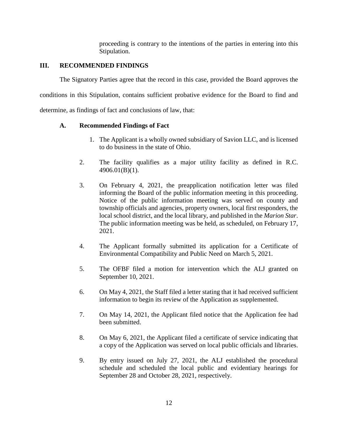proceeding is contrary to the intentions of the parties in entering into this Stipulation.

## **III. RECOMMENDED FINDINGS**

The Signatory Parties agree that the record in this case, provided the Board approves the conditions in this Stipulation, contains sufficient probative evidence for the Board to find and

determine, as findings of fact and conclusions of law, that:

# **A. Recommended Findings of Fact**

- 1. The Applicant is a wholly owned subsidiary of Savion LLC, and is licensed to do business in the state of Ohio.
- 2. The facility qualifies as a major utility facility as defined in R.C. 4906.01(B)(1).
- 3. On February 4, 2021, the preapplication notification letter was filed informing the Board of the public information meeting in this proceeding. Notice of the public information meeting was served on county and township officials and agencies, property owners, local first responders, the local school district, and the local library, and published in the *Marion Star*. The public information meeting was be held, as scheduled, on February 17, 2021.
- 4. The Applicant formally submitted its application for a Certificate of Environmental Compatibility and Public Need on March 5, 2021.
- 5. The OFBF filed a motion for intervention which the ALJ granted on September 10, 2021.
- 6. On May 4, 2021, the Staff filed a letter stating that it had received sufficient information to begin its review of the Application as supplemented.
- 7. On May 14, 2021, the Applicant filed notice that the Application fee had been submitted.
- 8. On May 6, 2021, the Applicant filed a certificate of service indicating that a copy of the Application was served on local public officials and libraries.
- 9. By entry issued on July 27, 2021, the ALJ established the procedural schedule and scheduled the local public and evidentiary hearings for September 28 and October 28, 2021, respectively.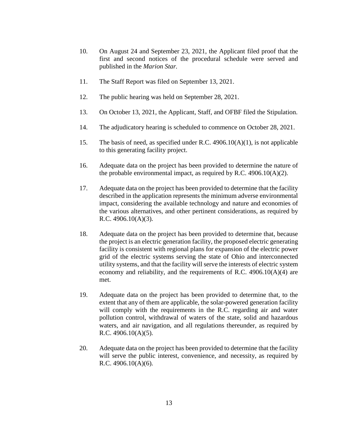- 10. On August 24 and September 23, 2021, the Applicant filed proof that the first and second notices of the procedural schedule were served and published in the *Marion Star.*
- 11. The Staff Report was filed on September 13, 2021.
- 12. The public hearing was held on September 28, 2021.
- 13. On October 13, 2021, the Applicant, Staff, and OFBF filed the Stipulation.
- 14. The adjudicatory hearing is scheduled to commence on October 28, 2021.
- 15. The basis of need, as specified under R.C.  $4906.10(A)(1)$ , is not applicable to this generating facility project.
- 16. Adequate data on the project has been provided to determine the nature of the probable environmental impact, as required by R.C.  $4906.10(A)(2)$ .
- 17. Adequate data on the project has been provided to determine that the facility described in the application represents the minimum adverse environmental impact, considering the available technology and nature and economies of the various alternatives, and other pertinent considerations, as required by R.C. 4906.10(A)(3).
- 18. Adequate data on the project has been provided to determine that, because the project is an electric generation facility, the proposed electric generating facility is consistent with regional plans for expansion of the electric power grid of the electric systems serving the state of Ohio and interconnected utility systems, and that the facility will serve the interests of electric system economy and reliability, and the requirements of R.C. 4906.10(A)(4) are met.
- 19. Adequate data on the project has been provided to determine that, to the extent that any of them are applicable, the solar-powered generation facility will comply with the requirements in the R.C. regarding air and water pollution control, withdrawal of waters of the state, solid and hazardous waters, and air navigation, and all regulations thereunder, as required by R.C. 4906.10(A)(5).
- 20. Adequate data on the project has been provided to determine that the facility will serve the public interest, convenience, and necessity, as required by R.C. 4906.10(A)(6).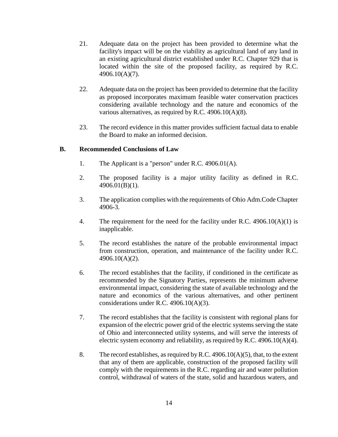- 21. Adequate data on the project has been provided to determine what the facility's impact will be on the viability as agricultural land of any land in an existing agricultural district established under R.C. Chapter 929 that is located within the site of the proposed facility, as required by R.C. 4906.10(A)(7).
- 22. Adequate data on the project has been provided to determine that the facility as proposed incorporates maximum feasible water conservation practices considering available technology and the nature and economics of the various alternatives, as required by R.C. 4906.10(A)(8).
- 23. The record evidence in this matter provides sufficient factual data to enable the Board to make an informed decision.

## **B. Recommended Conclusions of Law**

- 1. The Applicant is a "person" under R.C. 4906.01(A).
- 2. The proposed facility is a major utility facility as defined in R.C. 4906.01(B)(1).
- 3. The application complies with the requirements of Ohio Adm.Code Chapter 4906-3.
- 4. The requirement for the need for the facility under R.C. 4906.10(A)(1) is inapplicable.
- 5. The record establishes the nature of the probable environmental impact from construction, operation, and maintenance of the facility under R.C. 4906.10(A)(2).
- 6. The record establishes that the facility, if conditioned in the certificate as recommended by the Signatory Parties, represents the minimum adverse environmental impact, considering the state of available technology and the nature and economics of the various alternatives, and other pertinent considerations under R.C. 4906.10(A)(3).
- 7. The record establishes that the facility is consistent with regional plans for expansion of the electric power grid of the electric systems serving the state of Ohio and interconnected utility systems, and will serve the interests of electric system economy and reliability, as required by R.C. 4906.10(A)(4).
- 8. The record establishes, as required by R.C. 4906.10( $A$ )(5), that, to the extent that any of them are applicable, construction of the proposed facility will comply with the requirements in the R.C. regarding air and water pollution control, withdrawal of waters of the state, solid and hazardous waters, and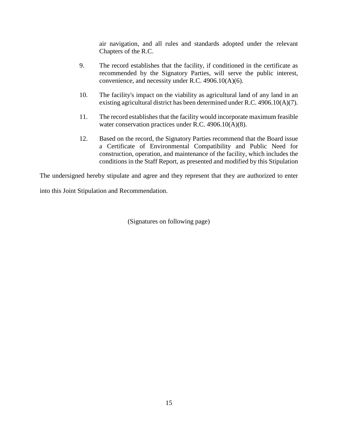air navigation, and all rules and standards adopted under the relevant Chapters of the R.C.

- 9. The record establishes that the facility, if conditioned in the certificate as recommended by the Signatory Parties, will serve the public interest, convenience, and necessity under R.C. 4906.10(A)(6).
- 10. The facility's impact on the viability as agricultural land of any land in an existing agricultural district has been determined under R.C. 4906.10(A)(7).
- 11. The record establishes that the facility would incorporate maximum feasible water conservation practices under R.C. 4906.10(A)(8).
- 12. Based on the record, the Signatory Parties recommend that the Board issue a Certificate of Environmental Compatibility and Public Need for construction, operation, and maintenance of the facility, which includes the conditions in the Staff Report, as presented and modified by this Stipulation

The undersigned hereby stipulate and agree and they represent that they are authorized to enter

into this Joint Stipulation and Recommendation.

(Signatures on following page)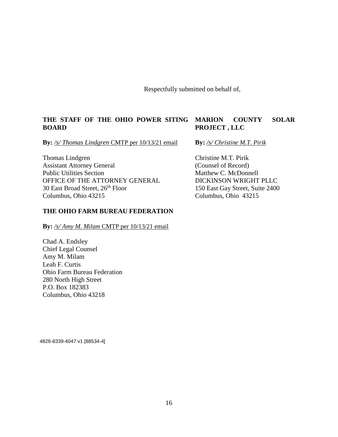Respectfully submitted on behalf of,

# **THE STAFF OF THE OHIO POWER SITING BOARD**

**By:** */s/ Thomas Lindgren* CMTP per 10/13/21 email

Thomas Lindgren Assistant Attorney General Public Utilities Section OFFICE OF THE ATTORNEY GENERAL 30 East Broad Street, 26<sup>th</sup> Floor Columbus, Ohio 43215

## **THE OHIO FARM BUREAU FEDERATION**

By: /s/ Amy M. Milam CMTP per 10/13/21 email

Chad A. Endsley Chief Legal Counsel Amy M. Milam Leah F. Curtis Ohio Farm Bureau Federation 280 North High Street P.O. Box 182383 Columbus, Ohio 43218

# **MARION COUNTY SOLAR PROJECT , LLC**

**By:** */s/ Christine M.T. Pirik*

Christine M.T. Pirik (Counsel of Record) Matthew C. McDonnell DICKINSON WRIGHT PLLC 150 East Gay Street, Suite 2400 Columbus, Ohio 43215

4826-8339-4047 v1 [88534-4]